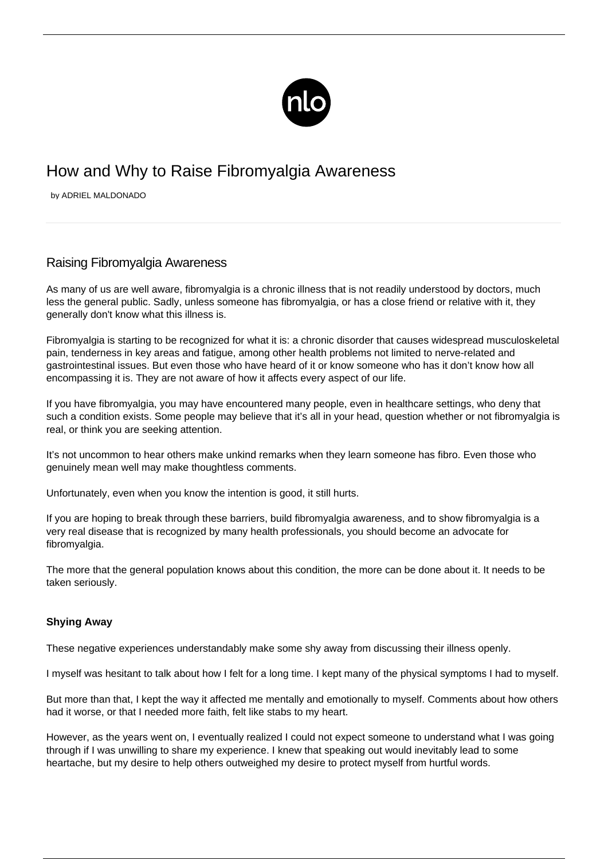

# How and Why to Raise Fibromyalgia Awareness

by ADRIEL MALDONADO

# Raising Fibromyalgia Awareness

As many of us are well aware, fibromyalgia is a chronic illness that is not readily understood by doctors, much less the general public. Sadly, unless someone has fibromyalgia, or has a close friend or relative with it, they generally don't know what this illness is.

Fibromyalgia is starting to be recognized for what it is: a chronic disorder that causes widespread musculoskeletal pain, [tenderness in key areas](/tender-points/) and fatigue, among other health problems not limited to nerve-related and gastrointestinal issues. But even those who have heard of it or know someone who has it don't know how all encompassing it is. They are not aware of how it affects every aspect of our life.

If you have fibromyalgia, you may have encountered many people, even in healthcare settings, who deny that such a condition exists. Some people may believe that it's all in your head, question whether or not [fibromyalgia is](/doubting-fibromyalgia-is-real/) [real](/doubting-fibromyalgia-is-real/), or think you are seeking attention.

It's not uncommon to hear others make unkind remarks when they learn someone has fibro. Even those who genuinely mean well may make thoughtless comments.

Unfortunately, even when you know the intention is good, it still hurts.

If you are hoping to break through these barriers, build fibromyalgia awareness, and to show fibromyalgia is a very real disease that is recognized by many health professionals, you should become an advocate for fibromyalgia.

The more that the general population knows about this condition, the more can be done about it. It needs to be taken seriously.

### **Shying Away**

These negative experiences understandably make some shy away from discussing their illness openly.

I myself was hesitant to talk about how I felt for a long time. I kept many of the physical symptoms I had to myself.

But more than that, I kept the way it affected me mentally and emotionally to myself. Comments about how others had it worse, or that I needed more faith, felt like stabs to my heart.

However, as the years went on, I eventually realized I could not expect someone to understand what I was going through if I was unwilling to share my experience. I knew that speaking out would inevitably lead to some heartache, but my desire to help others outweighed my desire to protect myself from hurtful words.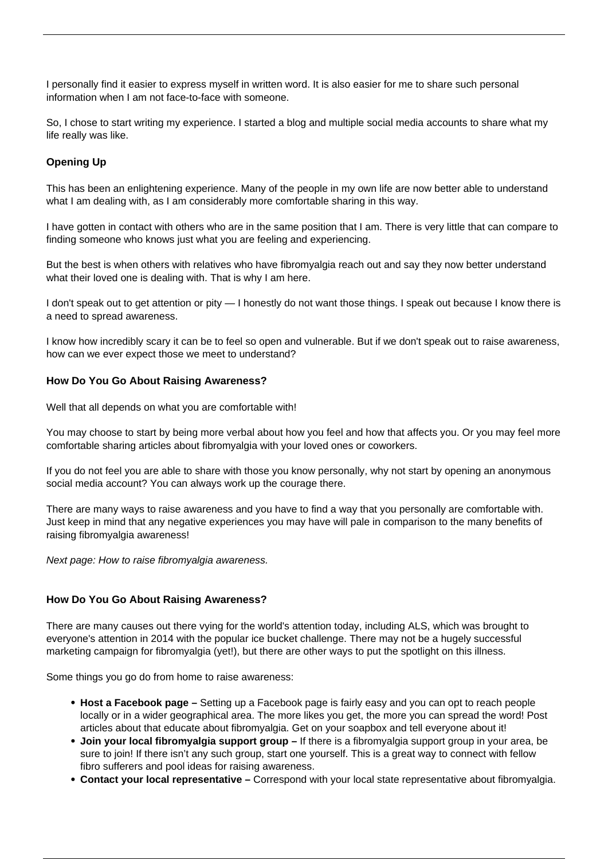I personally find it easier to express myself in written word. It is also easier for me to share such personal information when I am not face-to-face with someone.

So, I chose to start writing my experience. I started a blog and multiple social media accounts to share what my life really was like.

# **Opening Up**

This has been an enlightening experience. Many of the people in my own life are now better able to understand what I am dealing with, as I am considerably more comfortable sharing in this way.

I have gotten in contact with others who are in the same position that I am. There is very little that can compare to finding someone who knows just what you are feeling and experiencing.

But the best is when others with relatives who have fibromyalgia reach out and say they now better understand what their loved one is dealing with. That is why I am here.

I don't speak out to get attention or pity — I honestly do not want those things. I speak out because I know there is a need to spread awareness.

I know how incredibly scary it can be to feel so open and vulnerable. But if we don't speak out to raise awareness, how can we ever expect those we meet to understand?

# **How Do You Go About Raising Awareness?**

Well that all depends on what you are comfortable with!

You may choose to start by being more verbal about how you feel and how that affects you. Or you may feel more comfortable sharing articles about fibromyalgia with your loved ones or coworkers.

If you do not feel you are able to share with those you know personally, why not start by opening an anonymous social media account? You can always work up the courage there.

There are many ways to raise awareness and you have to find a way that you personally are comfortable with. Just keep in mind that any negative experiences you may have will pale in comparison to the many benefits of raising fibromyalgia awareness!

Next page: How to raise fibromyalgia awareness.

### **How Do You Go About Raising Awareness?**

There are many causes out there vying for the world's attention today, including ALS, which was brought to everyone's attention in 2014 with the popular ice bucket challenge. There may not be a hugely successful marketing campaign for fibromyalgia (yet!), but there are other ways to put the spotlight on this illness.

Some things you go do from home to raise awareness:

- **Host a Facebook page –** Setting up a Facebook page is fairly easy and you can opt to reach people locally or in a wider geographical area. The more likes you get, the more you can spread the word! Post articles about that educate about fibromyalgia. Get on your soapbox and tell everyone about it!
- **Join your local fibromyalgia support group** If there is a [fibromyalgia support group](/fibromyalgia-support-groups/) in your area, be sure to join! If there isn't any such group, start one yourself. This is a great way to connect with fellow fibro sufferers and pool ideas for raising awareness.
- **Contact your local representative –** Correspond with your local state representative about fibromyalgia.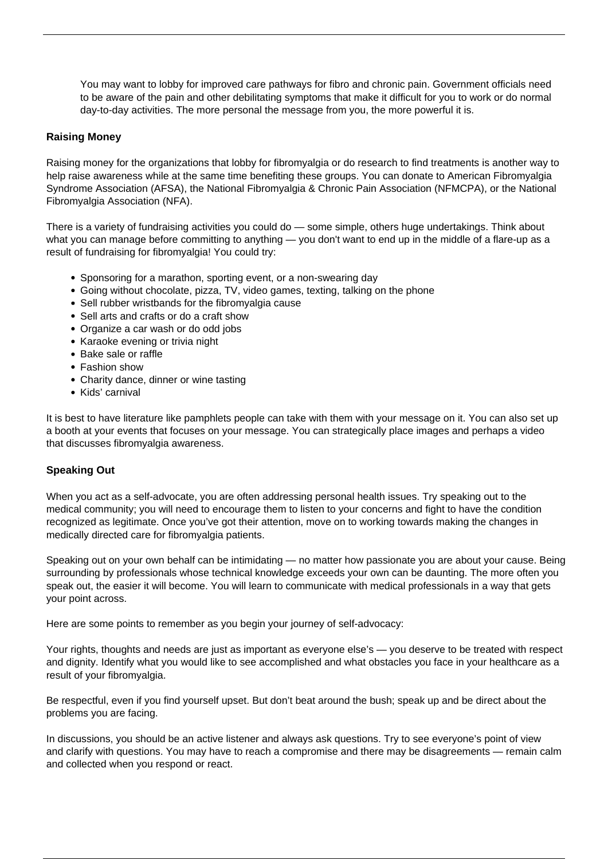You may want to lobby for improved care pathways for fibro and [chronic pain](/impact-of-chronic-pain/). Government officials need to be aware of the pain and other debilitating symptoms that make it difficult for you to work or do normal day-to-day activities. The more personal the message from you, the more powerful it is.

## **Raising Money**

Raising money for the organizations that lobby for fibromyalgia or do research to find treatments is another way to help raise awareness while at the same time benefiting these groups. You can donate to American Fibromyalgia Syndrome Association (AFSA), the National Fibromyalgia & Chronic Pain Association (NFMCPA), or the National Fibromyalgia Association (NFA).

There is a variety of fundraising activities you could do — some simple, others huge undertakings. Think about what you can manage before committing to anything — you don't want to end up in the middle of a flare-up as a result of fundraising for fibromyalgia! You could try:

- Sponsoring for a marathon, sporting event, or a non-swearing day
- Going without chocolate, pizza, TV, video games, texting, talking on the phone
- Sell rubber wristbands for the fibromyalgia cause
- Sell arts and crafts or do a craft show
- Organize a car wash or do odd jobs
- Karaoke evening or trivia night
- Bake sale or raffle
- Fashion show
- Charity dance, dinner or wine tasting
- Kids' carnival

It is best to have literature like pamphlets people can take with them with your message on it. You can also set up a booth at your events that focuses on your message. You can strategically place images and perhaps a video that discusses fibromyalgia awareness.

### **Speaking Out**

When you act as a self-advocate, you are often addressing personal health issues. Try speaking out to the medical community; you will need to encourage them to listen to your concerns and fight to have the condition recognized as legitimate. Once you've got their attention, move on to working towards making the changes in medically directed care for fibromyalgia patients.

Speaking out on your own behalf can be intimidating — no matter how passionate you are about your cause. Being surrounding by professionals whose technical knowledge exceeds your own can be daunting. The more often you speak out, the easier it will become. You will learn to communicate with medical professionals in a way that gets your point across.

Here are some points to remember as you begin your journey of self-advocacy:

Your rights, thoughts and needs are just as important as everyone else's — you deserve to be treated with respect and dignity. Identify what you would like to see accomplished and what obstacles you face in your healthcare as a result of your fibromyalgia.

Be respectful, even if you find yourself upset. But don't beat around the bush; speak up and be direct about the problems you are facing.

In discussions, you should be an active listener and always ask questions. Try to see everyone's point of view and clarify with questions. You may have to reach a compromise and there may be disagreements — remain calm and collected when you respond or react.